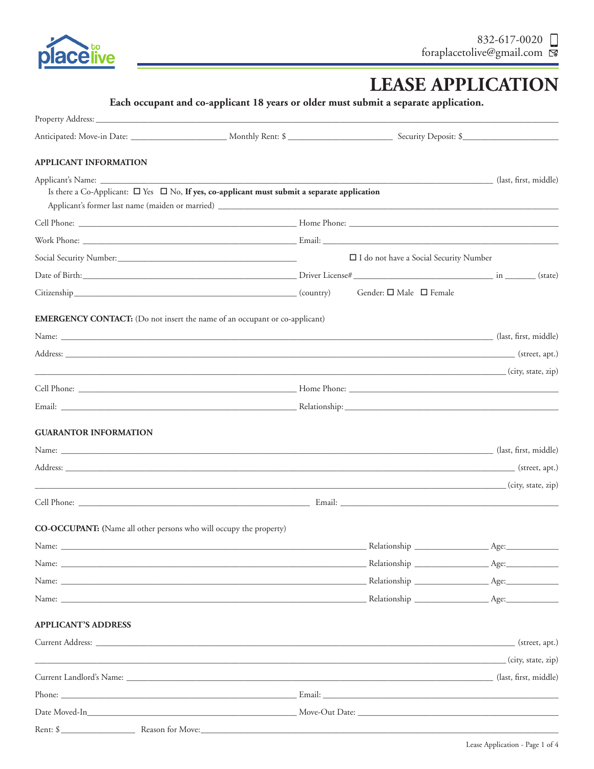

Rent: \$\_

Reason for Move:

# **LEASE APPLICATION**

|                                                                    | Each occupant and co-applicant 18 years or older must submit a separate application.                                       |                                          |  |
|--------------------------------------------------------------------|----------------------------------------------------------------------------------------------------------------------------|------------------------------------------|--|
|                                                                    |                                                                                                                            |                                          |  |
|                                                                    | Anticipated: Move-in Date: __________________________ Monthly Rent: \$ ______________________________ Security Deposit: \$ |                                          |  |
| <b>APPLICANT INFORMATION</b>                                       |                                                                                                                            |                                          |  |
|                                                                    | Is there a Co-Applicant: $\square$ Yes $\square$ No, If yes, co-applicant must submit a separate application               |                                          |  |
|                                                                    |                                                                                                                            |                                          |  |
|                                                                    |                                                                                                                            |                                          |  |
|                                                                    |                                                                                                                            | □ I do not have a Social Security Number |  |
|                                                                    |                                                                                                                            |                                          |  |
|                                                                    |                                                                                                                            |                                          |  |
|                                                                    | <b>EMERGENCY CONTACT:</b> (Do not insert the name of an occupant or co-applicant)                                          |                                          |  |
|                                                                    |                                                                                                                            |                                          |  |
|                                                                    |                                                                                                                            |                                          |  |
|                                                                    | (city, state, zip)                                                                                                         |                                          |  |
|                                                                    |                                                                                                                            |                                          |  |
|                                                                    |                                                                                                                            |                                          |  |
| <b>GUARANTOR INFORMATION</b>                                       |                                                                                                                            |                                          |  |
|                                                                    |                                                                                                                            |                                          |  |
|                                                                    |                                                                                                                            |                                          |  |
|                                                                    | city, state, zip. (city, state, zip)                                                                                       |                                          |  |
|                                                                    |                                                                                                                            |                                          |  |
| CO-OCCUPANT: (Name all other persons who will occupy the property) |                                                                                                                            |                                          |  |
|                                                                    |                                                                                                                            |                                          |  |
|                                                                    |                                                                                                                            |                                          |  |
|                                                                    |                                                                                                                            |                                          |  |
|                                                                    |                                                                                                                            |                                          |  |
| <b>APPLICANT'S ADDRESS</b>                                         |                                                                                                                            |                                          |  |
|                                                                    |                                                                                                                            |                                          |  |
|                                                                    | (city, state, zip) (city, state, zip) (city, state, zip) (city, state, zip) (city, state, zip)                             |                                          |  |
|                                                                    | Current Landlord's Name: (last, first, middle)                                                                             |                                          |  |
|                                                                    |                                                                                                                            |                                          |  |
|                                                                    |                                                                                                                            |                                          |  |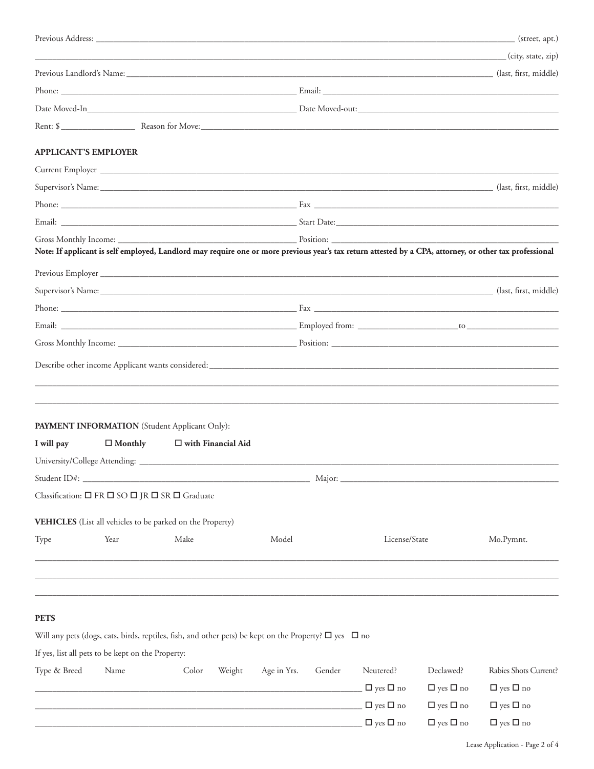|                             |                                                                                                                 |       |                      |             |        |                      |                      | (city, state, zip)                                                                                                                                      |
|-----------------------------|-----------------------------------------------------------------------------------------------------------------|-------|----------------------|-------------|--------|----------------------|----------------------|---------------------------------------------------------------------------------------------------------------------------------------------------------|
|                             |                                                                                                                 |       |                      |             |        |                      |                      | Previous Landlord's Name: (ast, first, middle) (ast, first, middle) (ast, first, middle)                                                                |
|                             |                                                                                                                 |       |                      |             |        |                      |                      |                                                                                                                                                         |
|                             |                                                                                                                 |       |                      |             |        |                      |                      |                                                                                                                                                         |
|                             |                                                                                                                 |       |                      |             |        |                      |                      |                                                                                                                                                         |
| <b>APPLICANT'S EMPLOYER</b> |                                                                                                                 |       |                      |             |        |                      |                      |                                                                                                                                                         |
|                             |                                                                                                                 |       |                      |             |        |                      |                      |                                                                                                                                                         |
|                             |                                                                                                                 |       |                      |             |        |                      |                      | Supervisor's Name: (last, first, middle) (last, first, middle)                                                                                          |
|                             |                                                                                                                 |       |                      |             |        |                      |                      |                                                                                                                                                         |
|                             |                                                                                                                 |       |                      |             |        |                      |                      |                                                                                                                                                         |
|                             |                                                                                                                 |       |                      |             |        |                      |                      |                                                                                                                                                         |
|                             |                                                                                                                 |       |                      |             |        |                      |                      | Note: If applicant is self employed, Landlord may require one or more previous year's tax return attested by a CPA, attorney, or other tax professional |
|                             |                                                                                                                 |       |                      |             |        |                      |                      |                                                                                                                                                         |
|                             |                                                                                                                 |       |                      |             |        |                      |                      | Supervisor's Name: (last, first, middle) (last, first, middle) (last, first, middle)                                                                    |
|                             |                                                                                                                 |       |                      |             |        |                      |                      |                                                                                                                                                         |
|                             |                                                                                                                 |       |                      |             |        |                      |                      |                                                                                                                                                         |
|                             |                                                                                                                 |       |                      |             |        |                      |                      |                                                                                                                                                         |
|                             |                                                                                                                 |       |                      |             |        |                      |                      |                                                                                                                                                         |
|                             |                                                                                                                 |       |                      |             |        |                      |                      |                                                                                                                                                         |
|                             |                                                                                                                 |       |                      |             |        |                      |                      |                                                                                                                                                         |
|                             |                                                                                                                 |       |                      |             |        |                      |                      |                                                                                                                                                         |
|                             |                                                                                                                 |       |                      |             |        |                      |                      |                                                                                                                                                         |
|                             | PAYMENT INFORMATION (Student Applicant Only):                                                                   |       |                      |             |        |                      |                      |                                                                                                                                                         |
| I will pay                  | $\Box$ Monthly                                                                                                  |       | □ with Financial Aid |             |        |                      |                      |                                                                                                                                                         |
|                             |                                                                                                                 |       |                      |             |        |                      |                      |                                                                                                                                                         |
|                             |                                                                                                                 |       |                      |             |        |                      |                      |                                                                                                                                                         |
|                             | Classification: □ FR □ SO □ JR □ SR □ Graduate                                                                  |       |                      |             |        |                      |                      |                                                                                                                                                         |
|                             |                                                                                                                 |       |                      |             |        |                      |                      |                                                                                                                                                         |
|                             | VEHICLES (List all vehicles to be parked on the Property)                                                       |       |                      |             |        |                      |                      |                                                                                                                                                         |
| Type                        | Year                                                                                                            | Make  |                      | Model       |        | License/State        |                      | Mo.Pymnt.                                                                                                                                               |
|                             |                                                                                                                 |       |                      |             |        |                      |                      |                                                                                                                                                         |
|                             |                                                                                                                 |       |                      |             |        |                      |                      |                                                                                                                                                         |
|                             |                                                                                                                 |       |                      |             |        |                      |                      |                                                                                                                                                         |
| <b>PETS</b>                 |                                                                                                                 |       |                      |             |        |                      |                      |                                                                                                                                                         |
|                             | Will any pets (dogs, cats, birds, reptiles, fish, and other pets) be kept on the Property? $\Box$ yes $\Box$ no |       |                      |             |        |                      |                      |                                                                                                                                                         |
|                             | If yes, list all pets to be kept on the Property:                                                               |       |                      |             |        |                      |                      |                                                                                                                                                         |
| Type & Breed                | Name                                                                                                            | Color | Weight               | Age in Yrs. | Gender | Neutered?            | Declawed?            | Rabies Shots Current?                                                                                                                                   |
|                             |                                                                                                                 |       |                      |             |        | $\Box$ yes $\Box$ no | $\Box$ yes $\Box$ no | $\Box$ yes $\Box$ no                                                                                                                                    |
|                             |                                                                                                                 |       |                      |             |        | $\Box$ yes $\Box$ no | $\Box$ yes $\Box$ no | $\Box$ yes $\Box$ no                                                                                                                                    |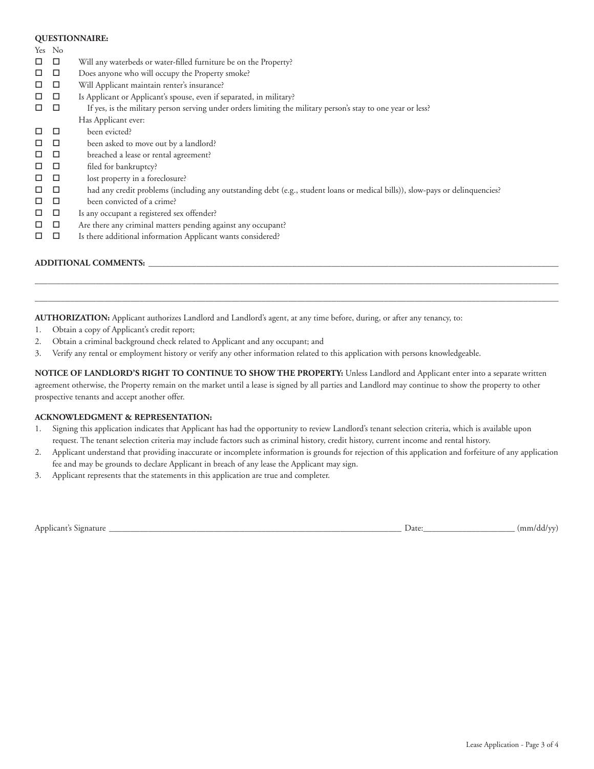#### **QUESTIONNAIRE:**

Yes No

- $\Box$   $\Box$  Will any waterbeds or water-filled furniture be on the Property?
- $\Box$   $\Box$  Does anyone who will occupy the Property smoke?
- $\square$   $\square$  Will Applicant maintain renter's insurance?
- $\Box$   $\Box$  Is Applicant or Applicant's spouse, even if separated, in military?
- $\Box$   $\Box$  If yes, is the military person serving under orders limiting the military person's stay to one year or less? Has Applicant ever:
- $\square$   $\square$  been evicted?
- $\Box$   $\Box$  been asked to move out by a landlord?
- $\Box$   $\Box$  breached a lease or rental agreement?
- $\Box$   $\Box$  filed for bankruptcy?
- $\Box$   $\Box$  lost property in a foreclosure?
- $\Box$   $\Box$  had any credit problems (including any outstanding debt (e.g., student loans or medical bills)), slow-pays or delinquencies?
- $\Box$  been convicted of a crime?
- $\Box$   $\Box$  Is any occupant a registered sex offender?
- $\Box$   $\Box$  Are there any criminal matters pending against any occupant?
- $\Box$   $\Box$  Is there additional information Applicant wants considered?

## **ADDITIONAL COMMENTS:** \_\_\_\_\_\_\_\_\_\_\_\_\_\_\_\_\_\_\_\_\_\_\_\_\_\_\_\_\_\_\_\_\_\_\_\_\_\_\_\_\_\_\_\_\_\_\_\_\_\_\_\_\_\_\_\_\_\_\_\_\_\_\_\_\_\_\_\_\_\_\_\_\_\_\_\_\_\_\_\_\_\_\_\_\_\_\_\_\_\_\_\_\_\_

**AUTHORIZATION:** Applicant authorizes Landlord and Landlord's agent, at any time before, during, or after any tenancy, to:

- 1. Obtain a copy of Applicant's credit report;
- 2. Obtain a criminal background check related to Applicant and any occupant; and
- 3. Verify any rental or employment history or verify any other information related to this application with persons knowledgeable.

**NOTICE OF LANDLORD'S RIGHT TO CONTINUE TO SHOW THE PROPERTY:** Unless Landlord and Applicant enter into a separate written agreement otherwise, the Property remain on the market until a lease is signed by all parties and Landlord may continue to show the property to other prospective tenants and accept another offer.

 $\Box \Box \Box \Box \Box \Box \Box$  . The set of the set of the set of the set of the set of the set of the set of the set of the set of the set of the set of the set of the set of the set of the set of the set of the set of the set of the  $\Box \Box \Box \Box \Box \Box \Box$  . The set of the set of the set of the set of the set of the set of the set of the set of the set of the set of the set of the set of the set of the set of the set of the set of the set of the set of the

#### **ACKNOWLEDGMENT & REPRESENTATION:**

- 1. Signing this application indicates that Applicant has had the opportunity to review Landlord's tenant selection criteria, which is available upon request. The tenant selection criteria may include factors such as criminal history, credit history, current income and rental history.
- 2. Applicant understand that providing inaccurate or incomplete information is grounds for rejection of this application and forfeiture of any application fee and may be grounds to declare Applicant in breach of any lease the Applicant may sign.
- 3. Applicant represents that the statements in this application are true and completer.

|  | Applicant's Signature |  |
|--|-----------------------|--|
|  |                       |  |

Applicant's Signature \_\_\_\_\_\_\_\_\_\_\_\_\_\_\_\_\_\_\_\_\_\_\_\_\_\_\_\_\_\_\_\_\_\_\_\_\_\_\_\_\_\_\_\_\_\_\_\_\_\_\_\_\_\_\_\_\_\_\_\_\_\_\_\_\_\_\_ Date:\_\_\_\_\_\_\_\_\_\_\_\_\_\_\_\_\_\_\_\_\_ (mm/dd/yy)